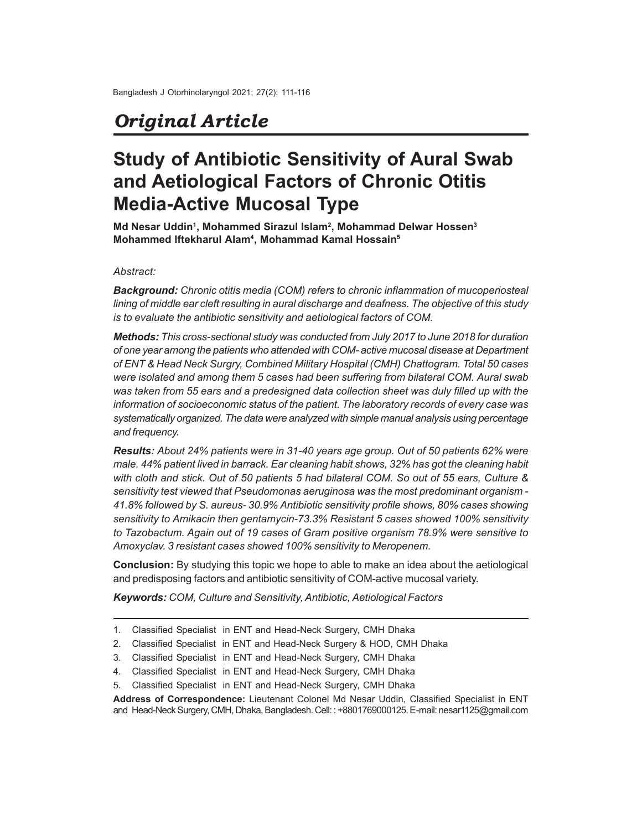## *Original Article*

# **Study of Antibiotic Sensitivity of Aural Swab and Aetiological Factors of Chronic Otitis Media-Active Mucosal Type**

**Md Nesar Uddin<sup>1</sup> , Mohammed Sirazul Islam<sup>2</sup> , Mohammad Delwar Hossen<sup>3</sup> Mohammed Iftekharul Alam<sup>4</sup> , Mohammad Kamal Hossain<sup>5</sup>**

#### *Abstract:*

*Background: Chronic otitis media (COM) refers to chronic inflammation of mucoperiosteal lining of middle ear cleft resulting in aural discharge and deafness. The objective of this study is to evaluate the antibiotic sensitivity and aetiological factors of COM.*

*Methods: This cross-sectional study was conducted from July 2017 to June 2018 for duration of one year among the patients who attended with COM- active mucosal disease at Department of ENT & Head Neck Surgry, Combined Military Hospital (CMH) Chattogram. Total 50 cases were isolated and among them 5 cases had been suffering from bilateral COM. Aural swab was taken from 55 ears and a predesigned data collection sheet was duly filled up with the information of socioeconomic status of the patient. The laboratory records of every case was systematically organized. The data were analyzed with simple manual analysis using percentage and frequency.*

*Results: About 24% patients were in 31-40 years age group. Out of 50 patients 62% were male. 44% patient lived in barrack. Ear cleaning habit shows, 32% has got the cleaning habit with cloth and stick. Out of 50 patients 5 had bilateral COM. So out of 55 ears, Culture & sensitivity test viewed that Pseudomonas aeruginosa was the most predominant organism - 41.8% followed by S. aureus- 30.9% Antibiotic sensitivity profile shows, 80% cases showing sensitivity to Amikacin then gentamycin-73.3% Resistant 5 cases showed 100% sensitivity to Tazobactum. Again out of 19 cases of Gram positive organism 78.9% were sensitive to Amoxyclav. 3 resistant cases showed 100% sensitivity to Meropenem.*

**Conclusion:** By studying this topic we hope to able to make an idea about the aetiological and predisposing factors and antibiotic sensitivity of COM-active mucosal variety.

*Keywords: COM, Culture and Sensitivity, Antibiotic, Aetiological Factors*

- 1. Classified Specialist in ENT and Head-Neck Surgery, CMH Dhaka
- 2. Classified Specialist in ENT and Head-Neck Surgery & HOD, CMH Dhaka
- 3. Classified Specialist in ENT and Head-Neck Surgery, CMH Dhaka
- 4. Classified Specialist in ENT and Head-Neck Surgery, CMH Dhaka
- 5. Classified Specialist in ENT and Head-Neck Surgery, CMH Dhaka

**Address of Correspondence:** Lieutenant Colonel Md Nesar Uddin, Classified Specialist in ENT and Head-Neck Surgery, CMH, Dhaka, Bangladesh. Cell: : +8801769000125. E-mail: nesar1125@gmail.com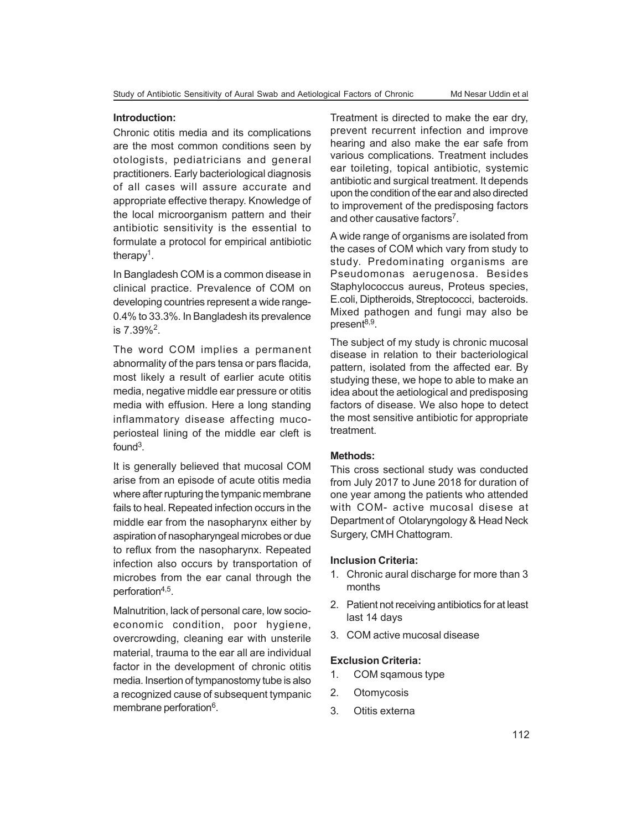#### **Introduction:**

Chronic otitis media and its complications are the most common conditions seen by otologists, pediatricians and general practitioners. Early bacteriological diagnosis of all cases will assure accurate and appropriate effective therapy. Knowledge of the local microorganism pattern and their antibiotic sensitivity is the essential to formulate a protocol for empirical antibiotic therapy<sup>1</sup>.

In Bangladesh COM is a common disease in clinical practice. Prevalence of COM on developing countries represent a wide range-0.4% to 33.3%. In Bangladesh its prevalence is 7.39%<sup>2</sup> .

The word COM implies a permanent abnormality of the pars tensa or pars flacida, most likely a result of earlier acute otitis media, negative middle ear pressure or otitis media with effusion. Here a long standing inflammatory disease affecting mucoperiosteal lining of the middle ear cleft is found<sup>3</sup>.

It is generally believed that mucosal COM arise from an episode of acute otitis media where after rupturing the tympanic membrane fails to heal. Repeated infection occurs in the middle ear from the nasopharynx either by aspiration of nasopharyngeal microbes or due to reflux from the nasopharynx. Repeated infection also occurs by transportation of microbes from the ear canal through the perforation<sup>4,5</sup>.

Malnutrition, lack of personal care, low socioeconomic condition, poor hygiene, overcrowding, cleaning ear with unsterile material, trauma to the ear all are individual factor in the development of chronic otitis media. Insertion of tympanostomy tube is also a recognized cause of subsequent tympanic membrane perforation<sup>6</sup>.

Treatment is directed to make the ear dry, prevent recurrent infection and improve hearing and also make the ear safe from various complications. Treatment includes ear toileting, topical antibiotic, systemic antibiotic and surgical treatment. It depends upon the condition of the ear and also directed to improvement of the predisposing factors and other causative factors<sup>7</sup>.

A wide range of organisms are isolated from the cases of COM which vary from study to study. Predominating organisms are Pseudomonas aerugenosa. Besides Staphylococcus aureus, Proteus species, E.coli, Diptheroids, Streptococci, bacteroids. Mixed pathogen and fungi may also be present<sup>8,9</sup>.

The subject of my study is chronic mucosal disease in relation to their bacteriological pattern, isolated from the affected ear. By studying these, we hope to able to make an idea about the aetiological and predisposing factors of disease. We also hope to detect the most sensitive antibiotic for appropriate treatment.

#### **Methods:**

This cross sectional study was conducted from July 2017 to June 2018 for duration of one year among the patients who attended with COM- active mucosal disese at Department of Otolaryngology & Head Neck Surgery, CMH Chattogram.

#### **Inclusion Criteria:**

- 1. Chronic aural discharge for more than 3 months
- 2. Patient not receiving antibiotics for at least last 14 days
- 3. COM active mucosal disease

#### **Exclusion Criteria:**

- 1. COM sqamous type
- 2. Otomycosis
- 3. Otitis externa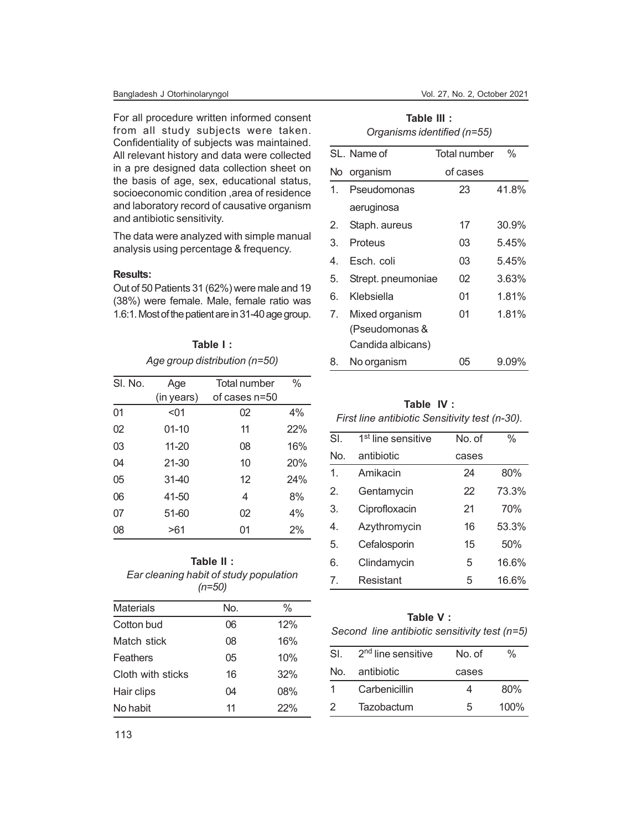For all procedure written informed consent from all study subjects were taken. Confidentiality of subjects was maintained. All relevant history and data were collected in a pre designed data collection sheet on the basis of age, sex, educational status, socioeconomic condition ,area of residence and laboratory record of causative organism and antibiotic sensitivity.

The data were analyzed with simple manual analysis using percentage & frequency.

#### **Results:**

Out of 50 Patients 31 (62%) were male and 19 (38%) were female. Male, female ratio was 1.6:1. Most of the patient are in 31-40 age group.

### **Table I :** *Age group distribution (n=50)*

| SI. No. | Age        | Total number  | %   |
|---------|------------|---------------|-----|
|         | (in years) | of cases n=50 |     |
| 01      | < 01       | 02            | 4%  |
| 02      | $01 - 10$  | 11            | 22% |
| 03      | $11 - 20$  | 08            | 16% |
| 04      | $21 - 30$  | 10            | 20% |
| 05      | $31-40$    | 12            | 24% |
| 06      | 41-50      | 4             | 8%  |
| 07      | 51-60      | 02            | 4%  |
| 08      | >61        | 01            | 2%  |

#### **Table II :** *Ear cleaning habit of study population (n=50)*

| <b>Materials</b>  | No. | %   |
|-------------------|-----|-----|
| Cotton bud        | 06  | 12% |
| Match stick       | 08  | 16% |
| Feathers          | 05  | 10% |
| Cloth with sticks | 16  | 32% |
| Hair clips        | 04  | 08% |
| No habit          | 11  | 22% |

| Table III :                 |
|-----------------------------|
| Organisms identified (n=55) |

|    | SL. Name of        | <b>Total number</b> | $\frac{0}{0}$ |
|----|--------------------|---------------------|---------------|
|    | No organism        | of cases            |               |
| 1. | Pseudomonas        | 23                  | 41.8%         |
|    | aeruginosa         |                     |               |
| 2. | Staph. aureus      | 17                  | 30.9%         |
| 3. | Proteus            | 03                  | 5.45%         |
| 4. | Esch. coli         | 03                  | 5.45%         |
| 5. | Strept. pneumoniae | 02                  | 3.63%         |
| 6. | Klebsiella         | 01                  | 1.81%         |
| 7. | Mixed organism     | 01                  | 1.81%         |
|    | (Pseudomonas &     |                     |               |
|    | Candida albicans)  |                     |               |
| 8. | No organism        | 05                  | 9.09%         |

## **Table IV :**

#### *First line antibiotic Sensitivity test (n-30).*

| SI.          | 1 <sup>st</sup> line sensitive | No. of | $\%$  |
|--------------|--------------------------------|--------|-------|
| No.          | antibiotic                     | cases  |       |
| $\mathbf{1}$ | Amikacin                       | 24     | 80%   |
| 2.           | Gentamycin                     | 22     | 73.3% |
| 3.           | Ciprofloxacin                  | 21     | 70%   |
| 4.           | Azythromycin                   | 16     | 53.3% |
| 5.           | Cefalosporin                   | 15     | 50%   |
| 6.           | Clindamycin                    | 5      | 16.6% |
| 7            | Resistant                      | 5      | 16.6% |

#### **Table V :**

#### *Second line antibiotic sensitivity test (n=5)*

| SI. | 2 <sup>nd</sup> line sensitive | No. of | %    |
|-----|--------------------------------|--------|------|
| No. | antibiotic                     | cases  |      |
|     | Carbenicillin                  | 4      | 80%  |
| 2   | <b>Tazobactum</b>              | 5      | 100% |

113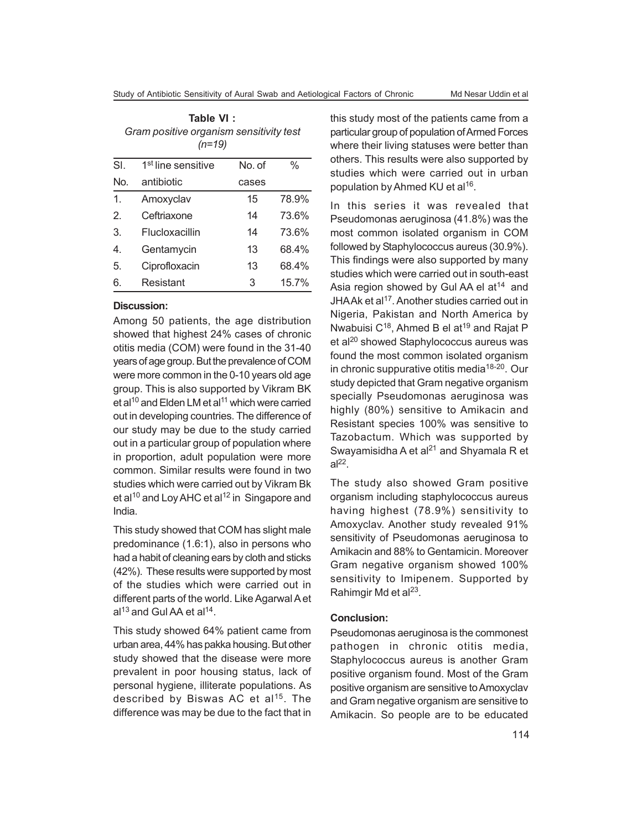| Table VI:                               |
|-----------------------------------------|
| Gram positive organism sensitivity test |
| $(n=19)$                                |

| SI. | 1 <sup>st</sup> line sensitive | No. of | $\%$  |
|-----|--------------------------------|--------|-------|
| No. | antibiotic                     | cases  |       |
| 1   | Amoxyclav                      | 15     | 78.9% |
| 2.  | Ceftriaxone                    | 14     | 73.6% |
| 3.  | Flucloxacillin                 | 14     | 73.6% |
| 4   | Gentamycin                     | 13     | 68.4% |
| 5.  | Ciprofloxacin                  | 13     | 68.4% |
| 6.  | Resistant                      | 3      | 15.7% |

#### **Discussion:**

Among 50 patients, the age distribution showed that highest 24% cases of chronic otitis media (COM) were found in the 31-40 years of age group. But the prevalence of COM were more common in the 0-10 years old age group. This is also supported by Vikram BK et al<sup>10</sup> and Elden LM et al<sup>11</sup> which were carried out in developing countries. The difference of our study may be due to the study carried out in a particular group of population where in proportion, adult population were more common. Similar results were found in two studies which were carried out by Vikram Bk et al<sup>10</sup> and Loy AHC et al<sup>12</sup> in Singapore and India.

This study showed that COM has slight male predominance (1.6:1), also in persons who had a habit of cleaning ears by cloth and sticks (42%). These results were supported by most of the studies which were carried out in different parts of the world. Like Agarwal A et  $al^{13}$  and Gul AA et al<sup>14</sup>.

This study showed 64% patient came from urban area, 44% has pakka housing. But other study showed that the disease were more prevalent in poor housing status, lack of personal hygiene, illiterate populations. As described by Biswas AC et al<sup>15</sup>. The difference was may be due to the fact that in this study most of the patients came from a particular group of population of Armed Forces where their living statuses were better than others. This results were also supported by studies which were carried out in urban population by Ahmed KU et al<sup>16</sup>.

In this series it was revealed that Pseudomonas aeruginosa (41.8%) was the most common isolated organism in COM followed by Staphylococcus aureus (30.9%). This findings were also supported by many studies which were carried out in south-east Asia region showed by Gul AA el at<sup>14</sup> and JHAAk et al<sup>17</sup>. Another studies carried out in Nigeria, Pakistan and North America by Nwabuisi C<sup>18</sup>, Ahmed B el at<sup>19</sup> and Rajat P et al<sup>20</sup> showed Staphylococcus aureus was found the most common isolated organism in chronic suppurative otitis media<sup>18-20</sup>. Our study depicted that Gram negative organism specially Pseudomonas aeruginosa was highly (80%) sensitive to Amikacin and Resistant species 100% was sensitive to Tazobactum. Which was supported by Swayamisidha A et al $^{21}$  and Shyamala R et  $al^{22}$ .

The study also showed Gram positive organism including staphylococcus aureus having highest (78.9%) sensitivity to Amoxyclav. Another study revealed 91% sensitivity of Pseudomonas aeruginosa to Amikacin and 88% to Gentamicin. Moreover Gram negative organism showed 100% sensitivity to Imipenem. Supported by Rahimgir Md et al<sup>23</sup>.

#### **Conclusion:**

Pseudomonas aeruginosa is the commonest pathogen in chronic otitis media, Staphylococcus aureus is another Gram positive organism found. Most of the Gram positive organism are sensitive to Amoxyclav and Gram negative organism are sensitive to Amikacin. So people are to be educated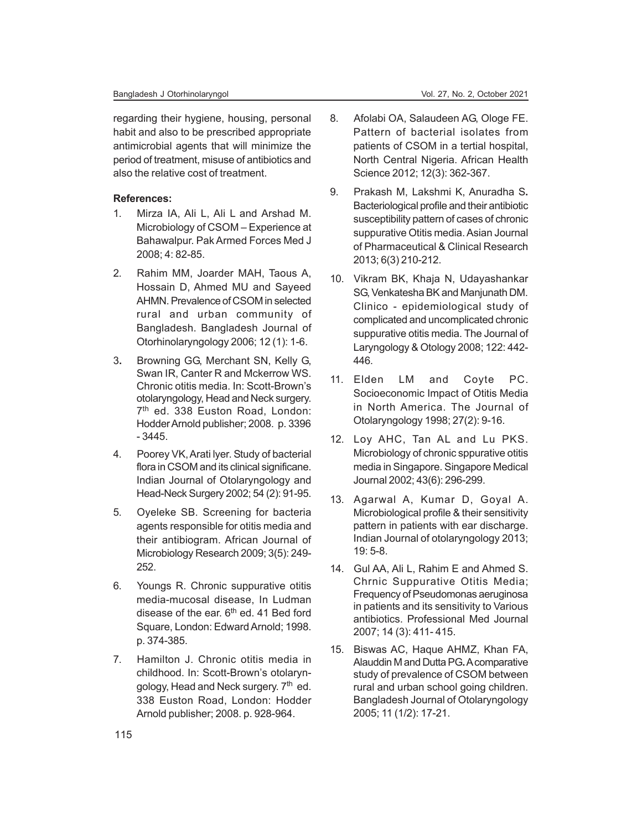regarding their hygiene, housing, personal habit and also to be prescribed appropriate antimicrobial agents that will minimize the period of treatment, misuse of antibiotics and also the relative cost of treatment.

#### **References:**

- 1. Mirza IA, Ali L, Ali L and Arshad M. Microbiology of CSOM – Experience at Bahawalpur. Pak Armed Forces Med J 2008; 4: 82-85.
- 2. Rahim MM, Joarder MAH, Taous A, Hossain D, Ahmed MU and Sayeed AHMN. Prevalence of CSOM in selected rural and urban community of Bangladesh. Bangladesh Journal of Otorhinolaryngology 2006; 12 (1): 1-6.
- 3**.** Browning GG, Merchant SN, Kelly G, Swan IR, Canter R and Mckerrow WS. Chronic otitis media. In: Scott-Brown's otolaryngology, Head and Neck surgery. 7 th ed. 338 Euston Road, London: Hodder Arnold publisher; 2008. p. 3396 - 3445.
- 4. Poorey VK, Arati lyer. Study of bacterial flora in CSOM and its clinical significane. Indian Journal of Otolaryngology and Head-Neck Surgery 2002; 54 (2): 91-95.
- 5. Oyeleke SB. Screening for bacteria agents responsible for otitis media and their antibiogram. African Journal of Microbiology Research 2009; 3(5): 249- 252.
- 6. Youngs R. Chronic suppurative otitis media-mucosal disease, In Ludman disease of the ear.  $6<sup>th</sup>$  ed. 41 Bed ford Square, London: Edward Arnold; 1998. p. 374-385.
- 7. Hamilton J. Chronic otitis media in childhood. In: Scott-Brown's otolaryngology, Head and Neck surgery. 7<sup>th</sup> ed. 338 Euston Road, London: Hodder Arnold publisher; 2008. p. 928-964.
- 8. Afolabi OA, Salaudeen AG, Ologe FE. Pattern of bacterial isolates from patients of CSOM in a tertial hospital, North Central Nigeria. African Health Science 2012; 12(3): 362-367.
- 9. Prakash M, Lakshmi K, Anuradha S**.** Bacteriological profile and their antibiotic susceptibility pattern of cases of chronic suppurative Otitis media. Asian Journal of Pharmaceutical & Clinical Research 2013; 6(3) 210-212.
- 10. Vikram BK, Khaja N, Udayashankar SG, Venkatesha BK and Manjunath DM. Clinico - epidemiological study of complicated and uncomplicated chronic suppurative otitis media. The Journal of Laryngology & Otology 2008; 122: 442- 446.
- 11. Elden LM and Coyte PC. Socioeconomic Impact of Otitis Media in North America. The Journal of Otolaryngology 1998; 27(2): 9-16.
- 12. Loy AHC, Tan AL and Lu PKS. Microbiology of chronic sppurative otitis media in Singapore. Singapore Medical Journal 2002; 43(6): 296-299.
- 13. Agarwal A, Kumar D, Goyal A. Microbiological profile & their sensitivity pattern in patients with ear discharge. Indian Journal of otolaryngology 2013; 19: 5-8.
- 14. Gul AA, Ali L, Rahim E and Ahmed S. Chrnic Suppurative Otitis Media; Frequency of Pseudomonas aeruginosa in patients and its sensitivity to Various antibiotics. Professional Med Journal 2007; 14 (3): 411- 415.
- 15. Biswas AC, Haque AHMZ, Khan FA, Alauddin M and Dutta PG**.** A comparative study of prevalence of CSOM between rural and urban school going children. Bangladesh Journal of Otolaryngology 2005; 11 (1/2): 17-21.